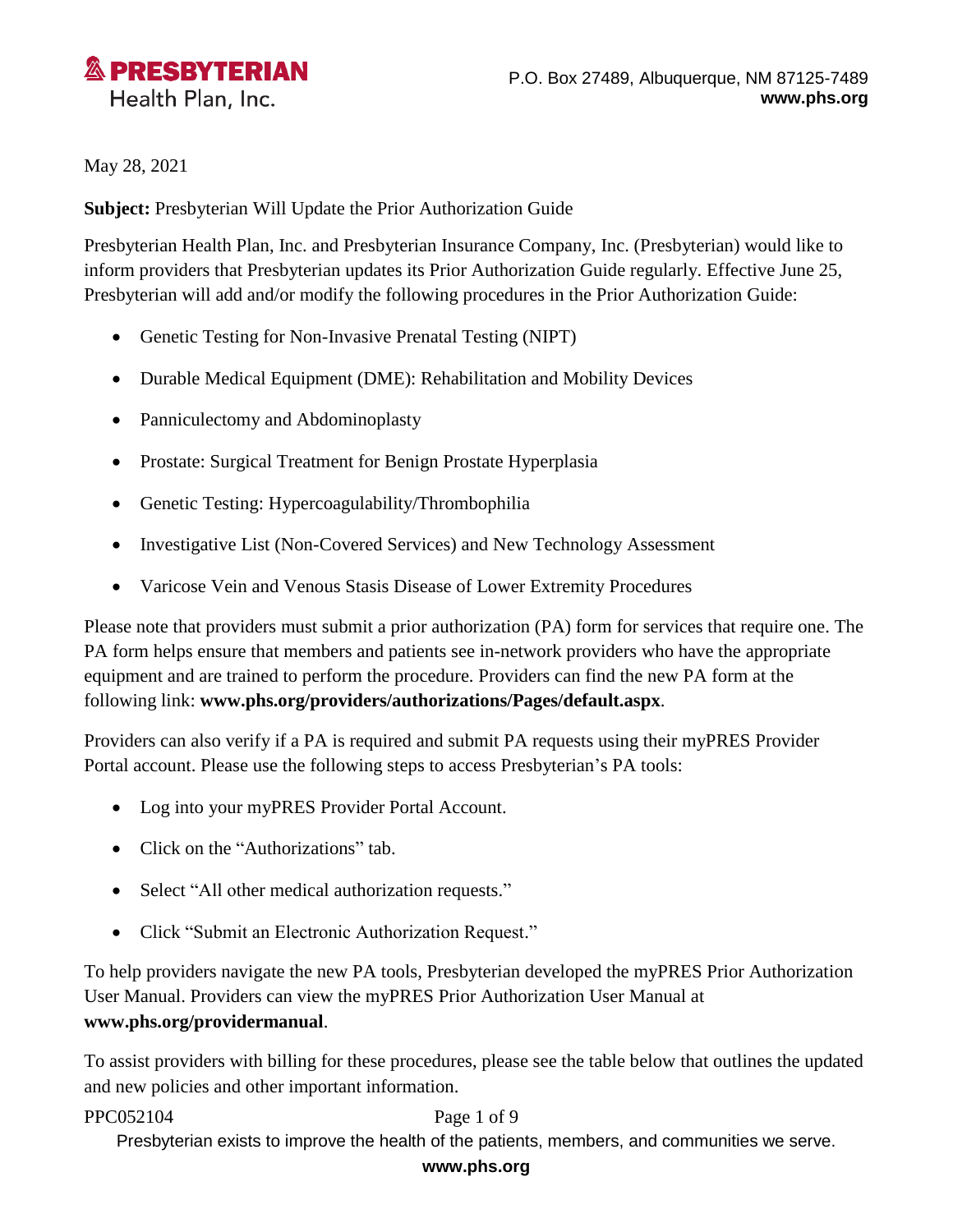

May 28, 2021

**Subject:** Presbyterian Will Update the Prior Authorization Guide

Presbyterian Health Plan, Inc. and Presbyterian Insurance Company, Inc. (Presbyterian) would like to inform providers that Presbyterian updates its Prior Authorization Guide regularly. Effective June 25, Presbyterian will add and/or modify the following procedures in the Prior Authorization Guide:

- Genetic Testing for Non-Invasive Prenatal Testing (NIPT)
- Durable Medical Equipment (DME): Rehabilitation and Mobility Devices
- Panniculectomy and Abdominoplasty
- Prostate: Surgical Treatment for Benign Prostate Hyperplasia
- Genetic Testing: Hypercoagulability/Thrombophilia
- Investigative List (Non-Covered Services) and New Technology Assessment
- Varicose Vein and Venous Stasis Disease of Lower Extremity Procedures

Please note that providers must submit a prior authorization (PA) form for services that require one. The PA form helps ensure that members and patients see in-network providers who have the appropriate equipment and are trained to perform the procedure. Providers can find the new PA form at the following link: **[www.phs.org/providers/authorizations/Pages/default.aspx](http://www.phs.org/providers/authorizations/Pages/default.aspx)**.

Providers can also verify if a PA is required and submit PA requests using their myPRES Provider Portal account. Please use the following steps to access Presbyterian's PA tools:

- Log into your myPRES Provider Portal Account.
- Click on the "Authorizations" tab.
- Select "All other medical authorization requests."
- Click "Submit an Electronic Authorization Request."

To help providers navigate the new PA tools, Presbyterian developed the myPRES Prior Authorization User Manual. Providers can view the myPRES Prior Authorization User Manual at **[www.phs.org/providermanual](../../../../plejeune/Downloads/www.phs.org/providermanual)**.

To assist providers with billing for these procedures, please see the table below that outlines the updated and new policies and other important information.

## PPC052104 Page 1 of 9

Presbyterian exists to improve the health of the patients, members, and communities we serve.

## **www.phs.org**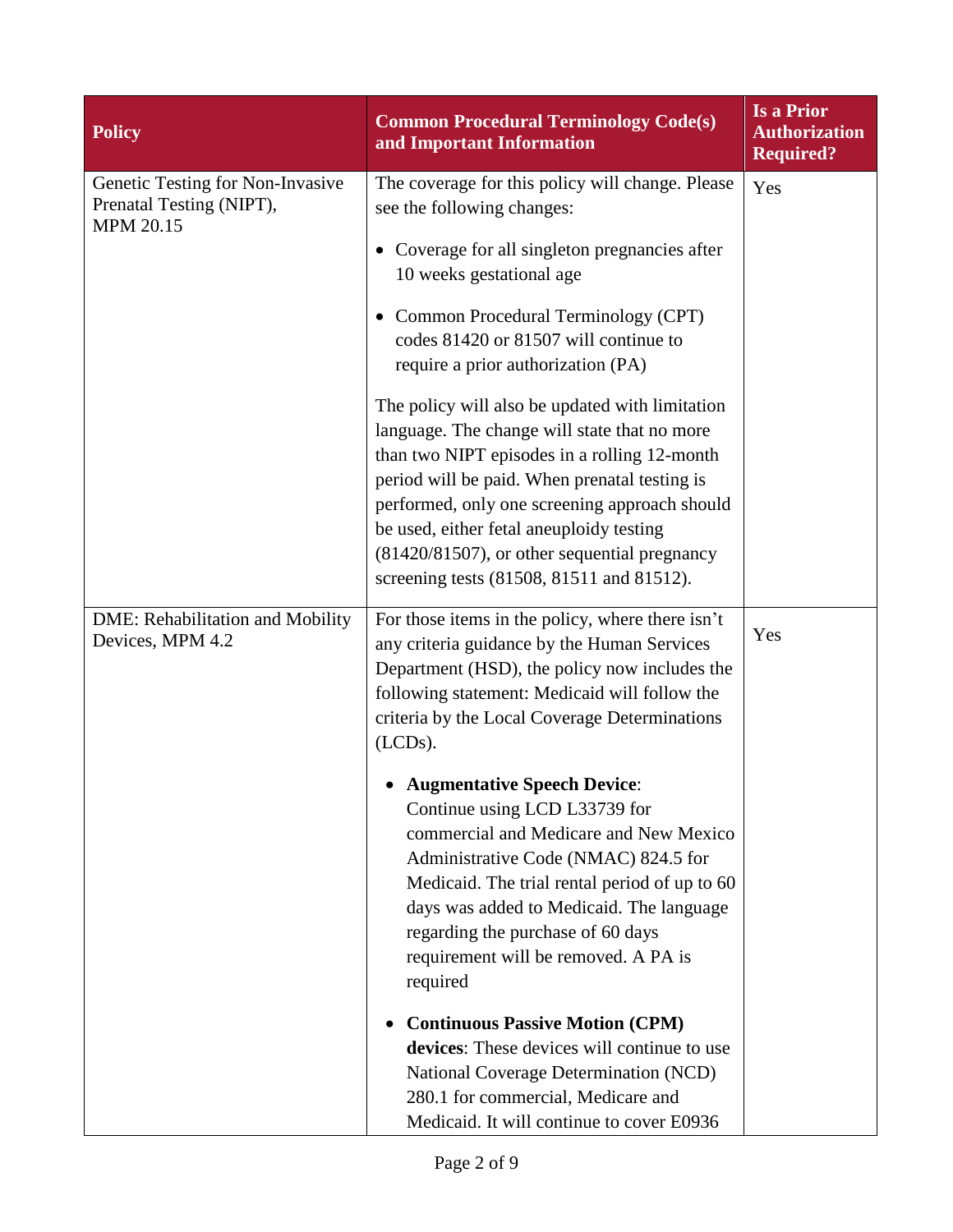| <b>Policy</b>                                                                    | <b>Common Procedural Terminology Code(s)</b><br>and Important Information                                                                                                                                                                                                                                                                                                                  | <b>Is a Prior</b><br><b>Authorization</b><br><b>Required?</b> |
|----------------------------------------------------------------------------------|--------------------------------------------------------------------------------------------------------------------------------------------------------------------------------------------------------------------------------------------------------------------------------------------------------------------------------------------------------------------------------------------|---------------------------------------------------------------|
| Genetic Testing for Non-Invasive<br>Prenatal Testing (NIPT),<br><b>MPM 20.15</b> | The coverage for this policy will change. Please<br>see the following changes:                                                                                                                                                                                                                                                                                                             | Yes                                                           |
|                                                                                  | • Coverage for all singleton pregnancies after<br>10 weeks gestational age                                                                                                                                                                                                                                                                                                                 |                                                               |
|                                                                                  | • Common Procedural Terminology (CPT)<br>codes 81420 or 81507 will continue to<br>require a prior authorization (PA)                                                                                                                                                                                                                                                                       |                                                               |
|                                                                                  | The policy will also be updated with limitation<br>language. The change will state that no more<br>than two NIPT episodes in a rolling 12-month<br>period will be paid. When prenatal testing is<br>performed, only one screening approach should<br>be used, either fetal aneuploidy testing<br>(81420/81507), or other sequential pregnancy<br>screening tests (81508, 81511 and 81512). |                                                               |
| DME: Rehabilitation and Mobility<br>Devices, MPM 4.2                             | For those items in the policy, where there isn't<br>any criteria guidance by the Human Services<br>Department (HSD), the policy now includes the<br>following statement: Medicaid will follow the<br>criteria by the Local Coverage Determinations<br>$(LCDs)$ .                                                                                                                           | Yes                                                           |
|                                                                                  | <b>Augmentative Speech Device:</b><br>Continue using LCD L33739 for<br>commercial and Medicare and New Mexico<br>Administrative Code (NMAC) 824.5 for<br>Medicaid. The trial rental period of up to 60<br>days was added to Medicaid. The language<br>regarding the purchase of 60 days<br>requirement will be removed. A PA is<br>required                                                |                                                               |
|                                                                                  | <b>Continuous Passive Motion (CPM)</b><br>٠<br>devices: These devices will continue to use<br>National Coverage Determination (NCD)<br>280.1 for commercial, Medicare and<br>Medicaid. It will continue to cover E0936                                                                                                                                                                     |                                                               |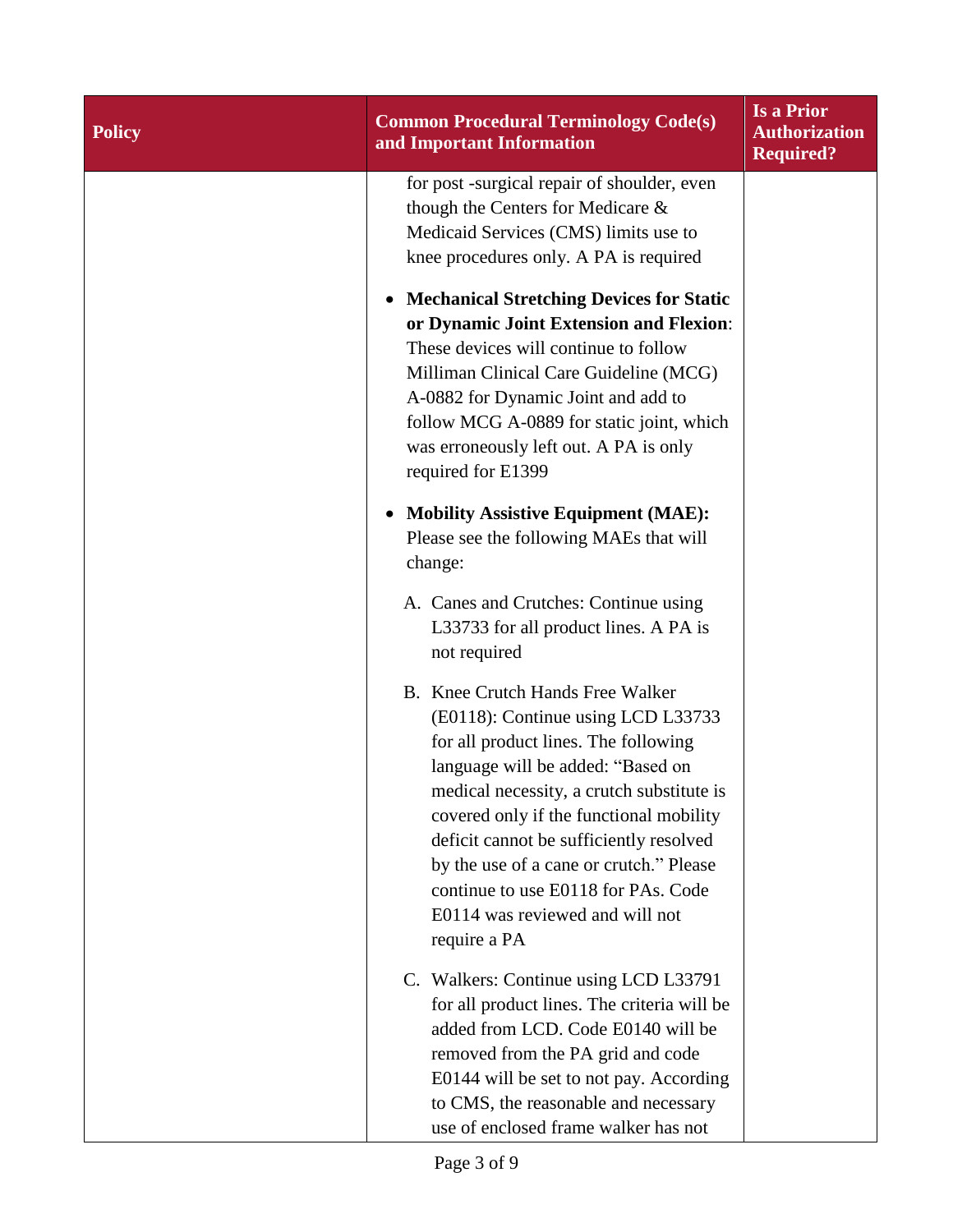| <b>Policy</b> | <b>Common Procedural Terminology Code(s)</b><br>and Important Information                                                                                                                                                                                                                                                                                                                                                   | <b>Is a Prior</b><br><b>Authorization</b><br><b>Required?</b> |
|---------------|-----------------------------------------------------------------------------------------------------------------------------------------------------------------------------------------------------------------------------------------------------------------------------------------------------------------------------------------------------------------------------------------------------------------------------|---------------------------------------------------------------|
|               | for post -surgical repair of shoulder, even<br>though the Centers for Medicare &<br>Medicaid Services (CMS) limits use to<br>knee procedures only. A PA is required<br><b>Mechanical Stretching Devices for Static</b><br>$\bullet$<br>or Dynamic Joint Extension and Flexion:                                                                                                                                              |                                                               |
|               | These devices will continue to follow<br>Milliman Clinical Care Guideline (MCG)<br>A-0882 for Dynamic Joint and add to<br>follow MCG A-0889 for static joint, which<br>was erroneously left out. A PA is only<br>required for E1399                                                                                                                                                                                         |                                                               |
|               | <b>Mobility Assistive Equipment (MAE):</b><br>$\bullet$<br>Please see the following MAEs that will<br>change:                                                                                                                                                                                                                                                                                                               |                                                               |
|               | A. Canes and Crutches: Continue using<br>L33733 for all product lines. A PA is<br>not required                                                                                                                                                                                                                                                                                                                              |                                                               |
|               | B. Knee Crutch Hands Free Walker<br>(E0118): Continue using LCD L33733<br>for all product lines. The following<br>language will be added: "Based on<br>medical necessity, a crutch substitute is<br>covered only if the functional mobility<br>deficit cannot be sufficiently resolved<br>by the use of a cane or crutch." Please<br>continue to use E0118 for PAs. Code<br>E0114 was reviewed and will not<br>require a PA |                                                               |
|               | C. Walkers: Continue using LCD L33791<br>for all product lines. The criteria will be<br>added from LCD. Code E0140 will be<br>removed from the PA grid and code<br>E0144 will be set to not pay. According<br>to CMS, the reasonable and necessary<br>use of enclosed frame walker has not                                                                                                                                  |                                                               |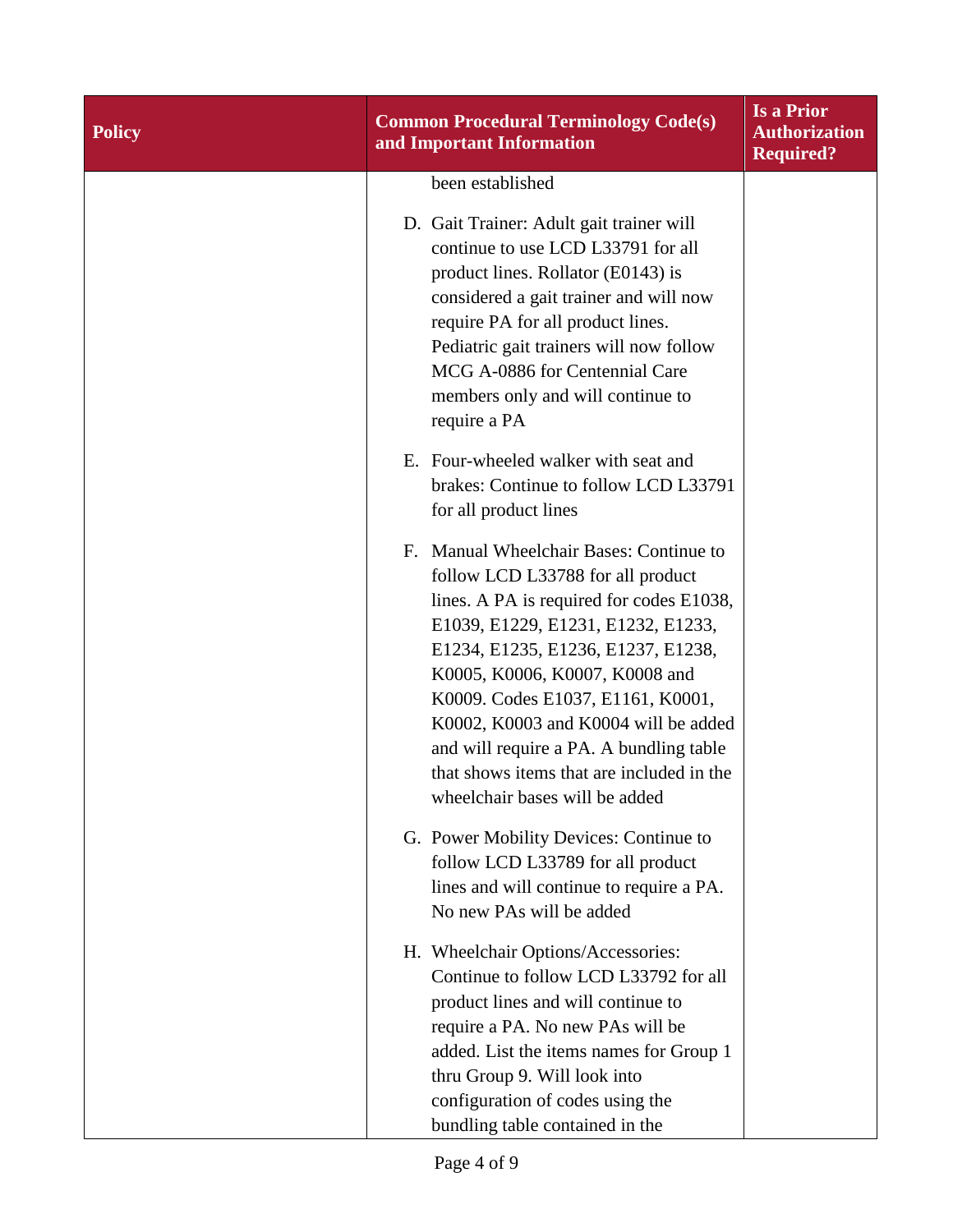| <b>Policy</b> | <b>Common Procedural Terminology Code(s)</b><br>and Important Information                                                                                                                                                                                                                                                                                                                                                                        | <b>Is a Prior</b><br><b>Authorization</b><br><b>Required?</b> |
|---------------|--------------------------------------------------------------------------------------------------------------------------------------------------------------------------------------------------------------------------------------------------------------------------------------------------------------------------------------------------------------------------------------------------------------------------------------------------|---------------------------------------------------------------|
|               | been established                                                                                                                                                                                                                                                                                                                                                                                                                                 |                                                               |
|               | D. Gait Trainer: Adult gait trainer will<br>continue to use LCD L33791 for all<br>product lines. Rollator (E0143) is<br>considered a gait trainer and will now<br>require PA for all product lines.<br>Pediatric gait trainers will now follow<br>MCG A-0886 for Centennial Care<br>members only and will continue to<br>require a PA                                                                                                            |                                                               |
|               | E. Four-wheeled walker with seat and<br>brakes: Continue to follow LCD L33791<br>for all product lines                                                                                                                                                                                                                                                                                                                                           |                                                               |
|               | Manual Wheelchair Bases: Continue to<br>F.<br>follow LCD L33788 for all product<br>lines. A PA is required for codes E1038,<br>E1039, E1229, E1231, E1232, E1233,<br>E1234, E1235, E1236, E1237, E1238,<br>K0005, K0006, K0007, K0008 and<br>K0009. Codes E1037, E1161, K0001,<br>K0002, K0003 and K0004 will be added<br>and will require a PA. A bundling table<br>that shows items that are included in the<br>wheelchair bases will be added |                                                               |
|               | G. Power Mobility Devices: Continue to<br>follow LCD L33789 for all product<br>lines and will continue to require a PA.<br>No new PAs will be added                                                                                                                                                                                                                                                                                              |                                                               |
|               | H. Wheelchair Options/Accessories:<br>Continue to follow LCD L33792 for all<br>product lines and will continue to<br>require a PA. No new PAs will be<br>added. List the items names for Group 1<br>thru Group 9. Will look into<br>configuration of codes using the<br>bundling table contained in the                                                                                                                                          |                                                               |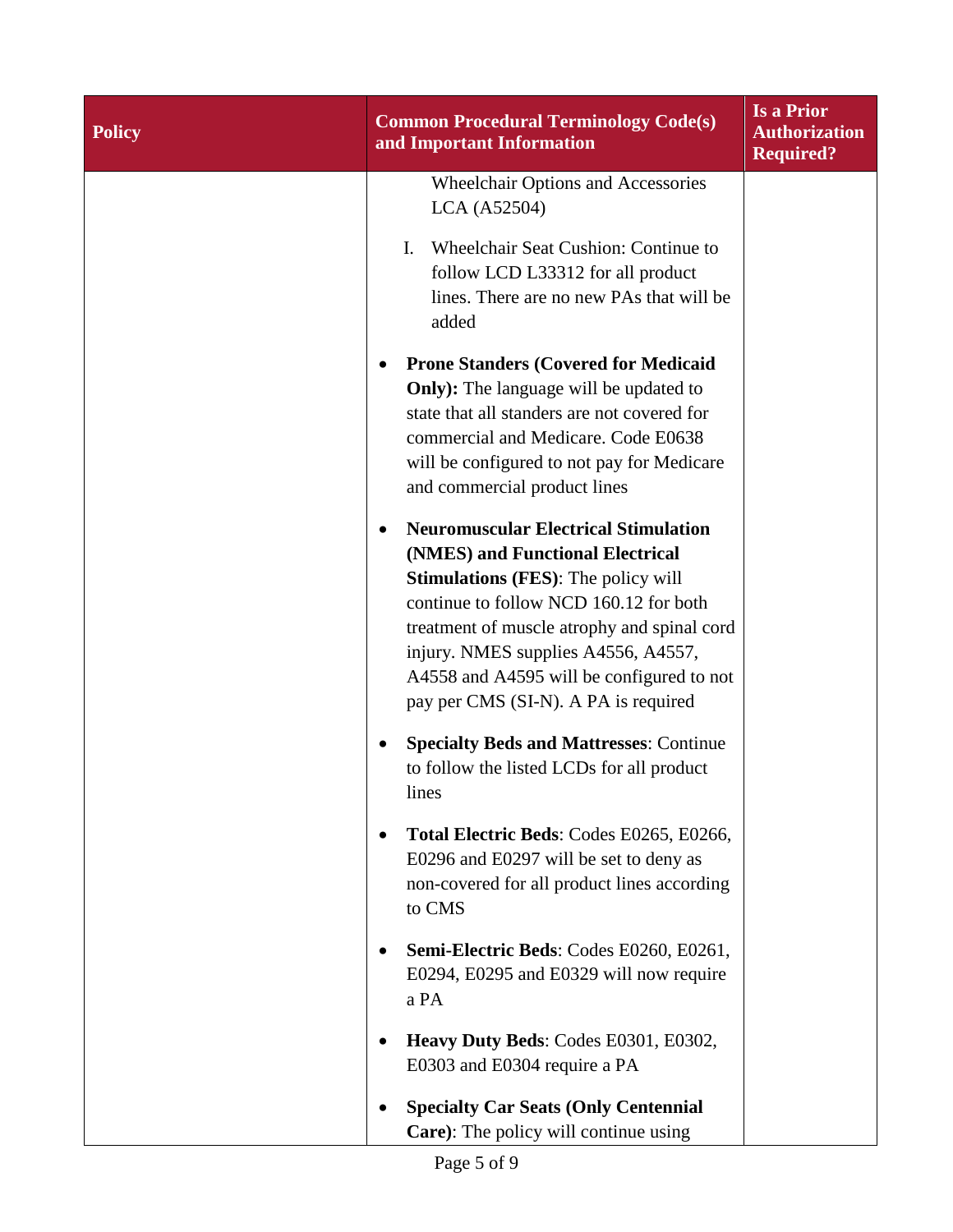| <b>Policy</b> | <b>Common Procedural Terminology Code(s)</b><br>and Important Information                                                                                                                                                                                                                                                                          | <b>Is a Prior</b><br><b>Authorization</b><br><b>Required?</b> |
|---------------|----------------------------------------------------------------------------------------------------------------------------------------------------------------------------------------------------------------------------------------------------------------------------------------------------------------------------------------------------|---------------------------------------------------------------|
|               | <b>Wheelchair Options and Accessories</b><br>LCA (A52504)                                                                                                                                                                                                                                                                                          |                                                               |
|               | Wheelchair Seat Cushion: Continue to<br>I.<br>follow LCD L33312 for all product<br>lines. There are no new PAs that will be<br>added                                                                                                                                                                                                               |                                                               |
|               | <b>Prone Standers (Covered for Medicaid</b><br>٠<br><b>Only</b> ): The language will be updated to<br>state that all standers are not covered for<br>commercial and Medicare. Code E0638<br>will be configured to not pay for Medicare<br>and commercial product lines                                                                             |                                                               |
|               | <b>Neuromuscular Electrical Stimulation</b><br>(NMES) and Functional Electrical<br><b>Stimulations (FES):</b> The policy will<br>continue to follow NCD 160.12 for both<br>treatment of muscle atrophy and spinal cord<br>injury. NMES supplies A4556, A4557,<br>A4558 and A4595 will be configured to not<br>pay per CMS (SI-N). A PA is required |                                                               |
|               | <b>Specialty Beds and Mattresses: Continue</b><br>to follow the listed LCDs for all product<br>lines                                                                                                                                                                                                                                               |                                                               |
|               | Total Electric Beds: Codes E0265, E0266,<br>E0296 and E0297 will be set to deny as<br>non-covered for all product lines according<br>to CMS                                                                                                                                                                                                        |                                                               |
|               | Semi-Electric Beds: Codes E0260, E0261,<br>E0294, E0295 and E0329 will now require<br>a PA                                                                                                                                                                                                                                                         |                                                               |
|               | Heavy Duty Beds: Codes E0301, E0302,<br>E0303 and E0304 require a PA                                                                                                                                                                                                                                                                               |                                                               |
|               | <b>Specialty Car Seats (Only Centennial</b><br>Care): The policy will continue using                                                                                                                                                                                                                                                               |                                                               |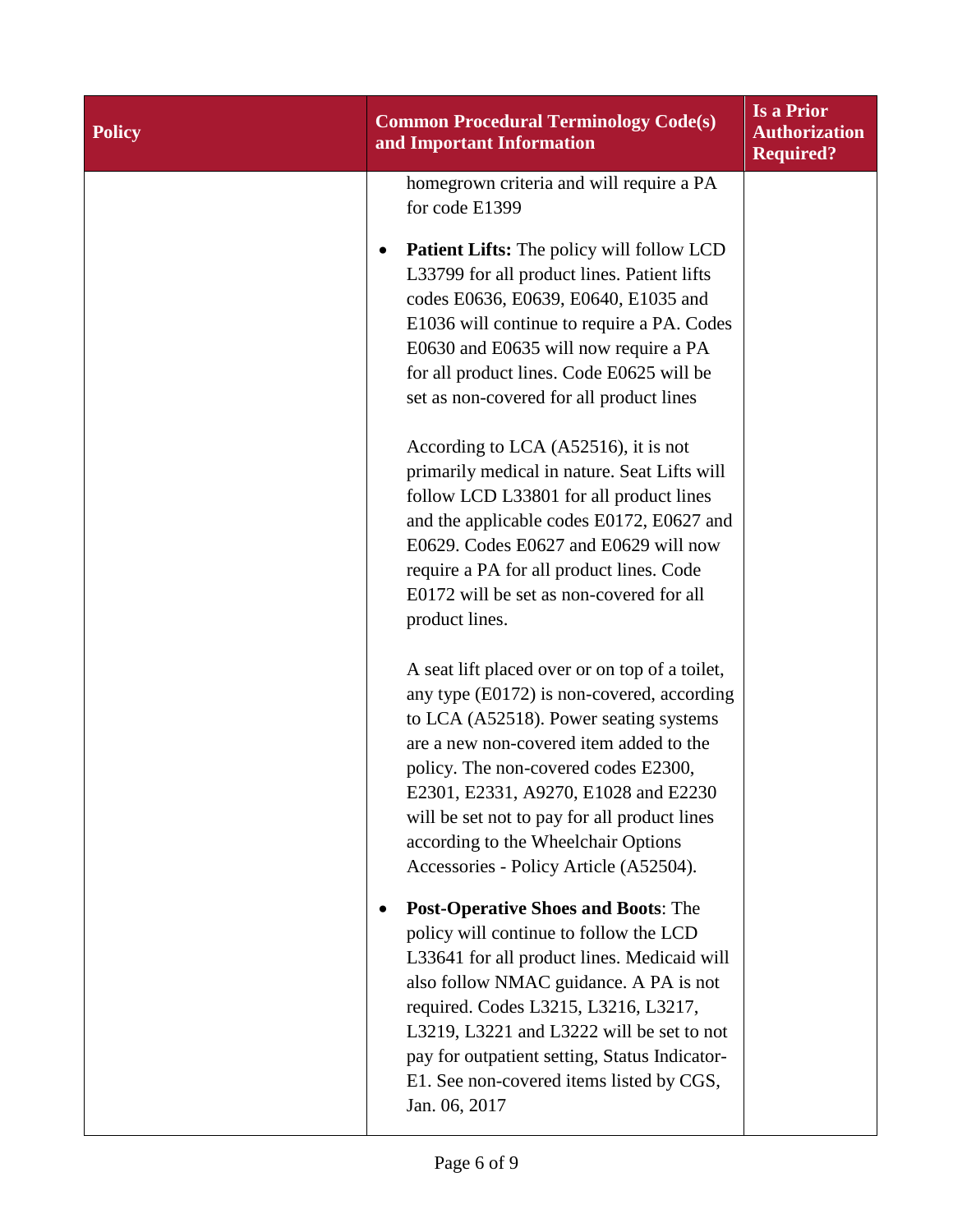| <b>Policy</b> | <b>Common Procedural Terminology Code(s)</b><br>and Important Information                                                                                                                                                                                                                                                                                                                          | <b>Is a Prior</b><br><b>Authorization</b><br><b>Required?</b> |
|---------------|----------------------------------------------------------------------------------------------------------------------------------------------------------------------------------------------------------------------------------------------------------------------------------------------------------------------------------------------------------------------------------------------------|---------------------------------------------------------------|
|               | homegrown criteria and will require a PA<br>for code E1399                                                                                                                                                                                                                                                                                                                                         |                                                               |
|               | Patient Lifts: The policy will follow LCD<br>L33799 for all product lines. Patient lifts<br>codes E0636, E0639, E0640, E1035 and<br>E1036 will continue to require a PA. Codes<br>E0630 and E0635 will now require a PA<br>for all product lines. Code E0625 will be<br>set as non-covered for all product lines                                                                                   |                                                               |
|               | According to LCA (A52516), it is not<br>primarily medical in nature. Seat Lifts will<br>follow LCD L33801 for all product lines<br>and the applicable codes E0172, E0627 and<br>E0629. Codes E0627 and E0629 will now<br>require a PA for all product lines. Code<br>E0172 will be set as non-covered for all<br>product lines.                                                                    |                                                               |
|               | A seat lift placed over or on top of a toilet,<br>any type (E0172) is non-covered, according<br>to LCA (A52518). Power seating systems<br>are a new non-covered item added to the<br>policy. The non-covered codes E2300,<br>E2301, E2331, A9270, E1028 and E2230<br>will be set not to pay for all product lines<br>according to the Wheelchair Options<br>Accessories - Policy Article (A52504). |                                                               |
|               | <b>Post-Operative Shoes and Boots: The</b><br>policy will continue to follow the LCD<br>L33641 for all product lines. Medicaid will<br>also follow NMAC guidance. A PA is not<br>required. Codes L3215, L3216, L3217,<br>L3219, L3221 and L3222 will be set to not<br>pay for outpatient setting, Status Indicator-<br>E1. See non-covered items listed by CGS,<br>Jan. 06, 2017                   |                                                               |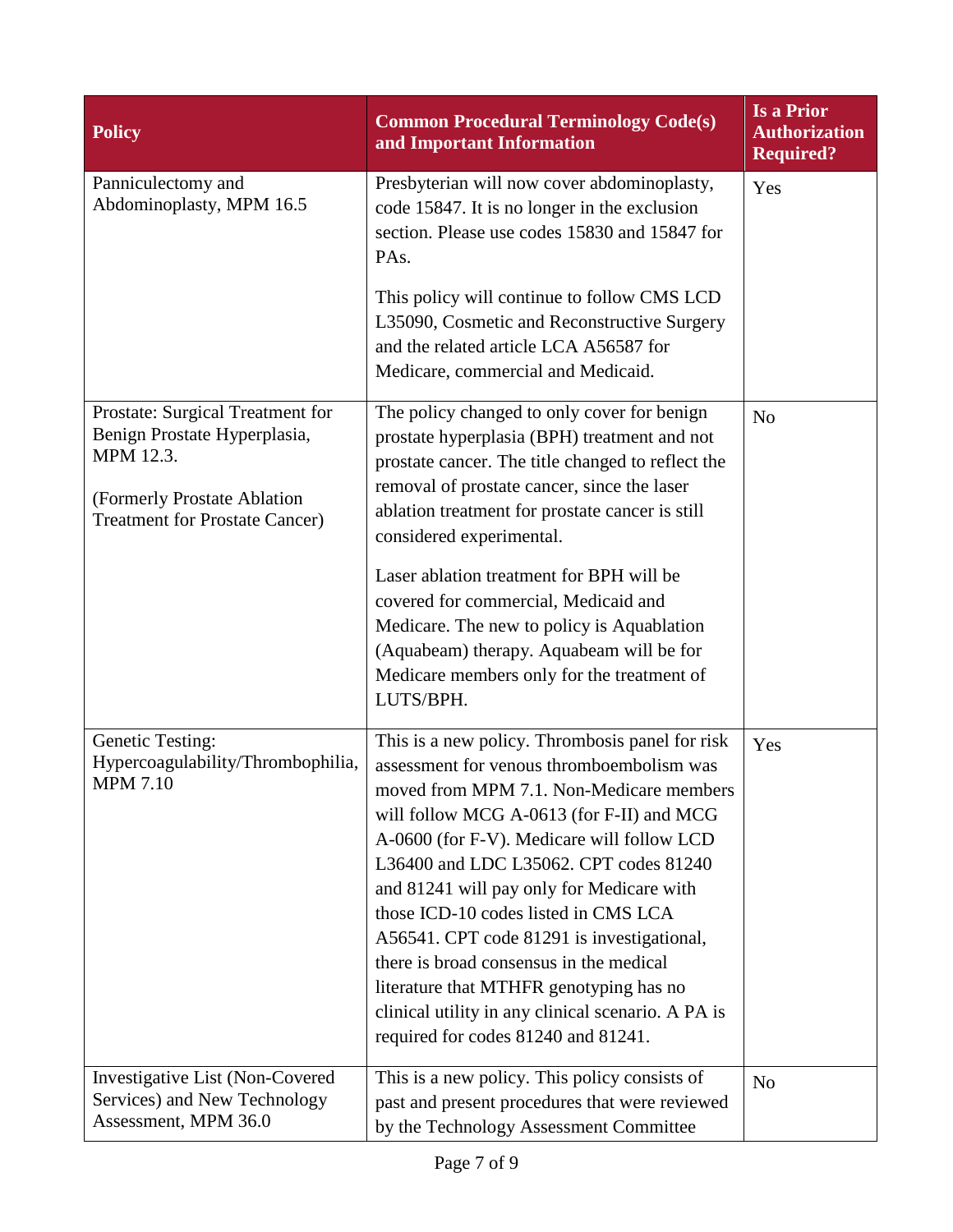| <b>Policy</b>                                                                                                                                         | <b>Common Procedural Terminology Code(s)</b><br>and Important Information                                                                                                                                                                                                                                                                                                                                                                                                                                                                                                                           | <b>Is a Prior</b><br><b>Authorization</b><br><b>Required?</b> |
|-------------------------------------------------------------------------------------------------------------------------------------------------------|-----------------------------------------------------------------------------------------------------------------------------------------------------------------------------------------------------------------------------------------------------------------------------------------------------------------------------------------------------------------------------------------------------------------------------------------------------------------------------------------------------------------------------------------------------------------------------------------------------|---------------------------------------------------------------|
| Panniculectomy and<br>Abdominoplasty, MPM 16.5                                                                                                        | Presbyterian will now cover abdominoplasty,<br>code 15847. It is no longer in the exclusion<br>section. Please use codes 15830 and 15847 for<br>PA <sub>s</sub> .<br>This policy will continue to follow CMS LCD<br>L35090, Cosmetic and Reconstructive Surgery<br>and the related article LCA A56587 for<br>Medicare, commercial and Medicaid.                                                                                                                                                                                                                                                     | Yes                                                           |
| Prostate: Surgical Treatment for<br>Benign Prostate Hyperplasia,<br>MPM 12.3.<br>(Formerly Prostate Ablation<br><b>Treatment for Prostate Cancer)</b> | The policy changed to only cover for benign<br>prostate hyperplasia (BPH) treatment and not<br>prostate cancer. The title changed to reflect the<br>removal of prostate cancer, since the laser<br>ablation treatment for prostate cancer is still<br>considered experimental.<br>Laser ablation treatment for BPH will be<br>covered for commercial, Medicaid and<br>Medicare. The new to policy is Aquablation<br>(Aquabeam) therapy. Aquabeam will be for<br>Medicare members only for the treatment of<br>LUTS/BPH.                                                                             | N <sub>o</sub>                                                |
| <b>Genetic Testing:</b><br>Hypercoagulability/Thrombophilia,<br><b>MPM 7.10</b>                                                                       | This is a new policy. Thrombosis panel for risk<br>assessment for venous thromboembolism was<br>moved from MPM 7.1. Non-Medicare members<br>will follow MCG A-0613 (for F-II) and MCG<br>A-0600 (for F-V). Medicare will follow LCD<br>L36400 and LDC L35062. CPT codes 81240<br>and 81241 will pay only for Medicare with<br>those ICD-10 codes listed in CMS LCA<br>A56541. CPT code 81291 is investigational,<br>there is broad consensus in the medical<br>literature that MTHFR genotyping has no<br>clinical utility in any clinical scenario. A PA is<br>required for codes 81240 and 81241. | Yes                                                           |
| <b>Investigative List (Non-Covered)</b><br>Services) and New Technology<br>Assessment, MPM 36.0                                                       | This is a new policy. This policy consists of<br>past and present procedures that were reviewed<br>by the Technology Assessment Committee                                                                                                                                                                                                                                                                                                                                                                                                                                                           | N <sub>o</sub>                                                |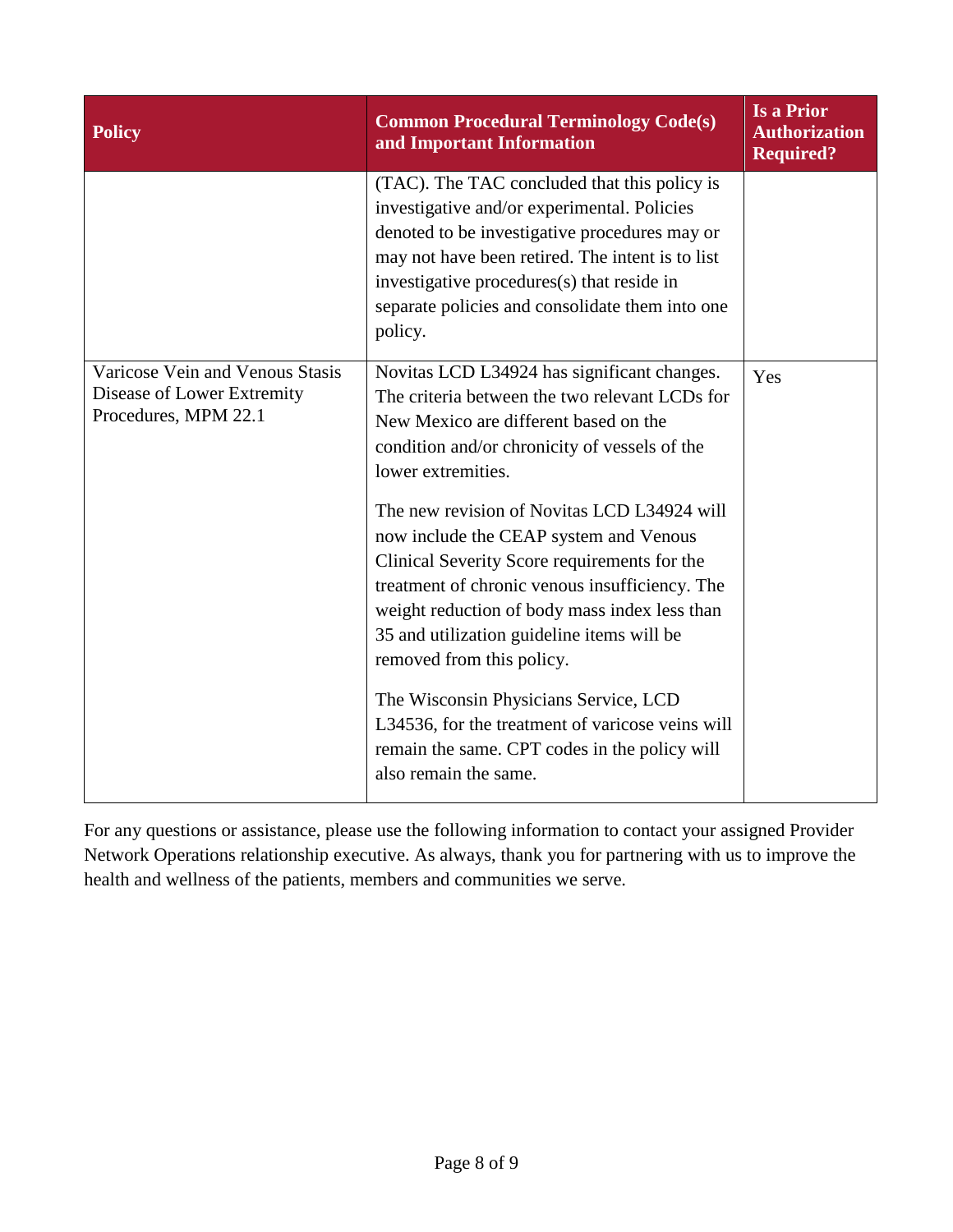| <b>Policy</b>                                                                         | <b>Common Procedural Terminology Code(s)</b><br>and Important Information                                                                                                                                                                                                                                           | <b>Is a Prior</b><br><b>Authorization</b><br><b>Required?</b> |
|---------------------------------------------------------------------------------------|---------------------------------------------------------------------------------------------------------------------------------------------------------------------------------------------------------------------------------------------------------------------------------------------------------------------|---------------------------------------------------------------|
|                                                                                       | (TAC). The TAC concluded that this policy is<br>investigative and/or experimental. Policies<br>denoted to be investigative procedures may or<br>may not have been retired. The intent is to list<br>investigative procedures(s) that reside in<br>separate policies and consolidate them into one<br>policy.        |                                                               |
| Varicose Vein and Venous Stasis<br>Disease of Lower Extremity<br>Procedures, MPM 22.1 | Novitas LCD L34924 has significant changes.<br>The criteria between the two relevant LCDs for<br>New Mexico are different based on the<br>condition and/or chronicity of vessels of the<br>lower extremities.                                                                                                       | Yes                                                           |
|                                                                                       | The new revision of Novitas LCD L34924 will<br>now include the CEAP system and Venous<br>Clinical Severity Score requirements for the<br>treatment of chronic venous insufficiency. The<br>weight reduction of body mass index less than<br>35 and utilization guideline items will be<br>removed from this policy. |                                                               |
|                                                                                       | The Wisconsin Physicians Service, LCD<br>L34536, for the treatment of varicose veins will<br>remain the same. CPT codes in the policy will<br>also remain the same.                                                                                                                                                 |                                                               |

For any questions or assistance, please use the following information to contact your assigned Provider Network Operations relationship executive. As always, thank you for partnering with us to improve the health and wellness of the patients, members and communities we serve.